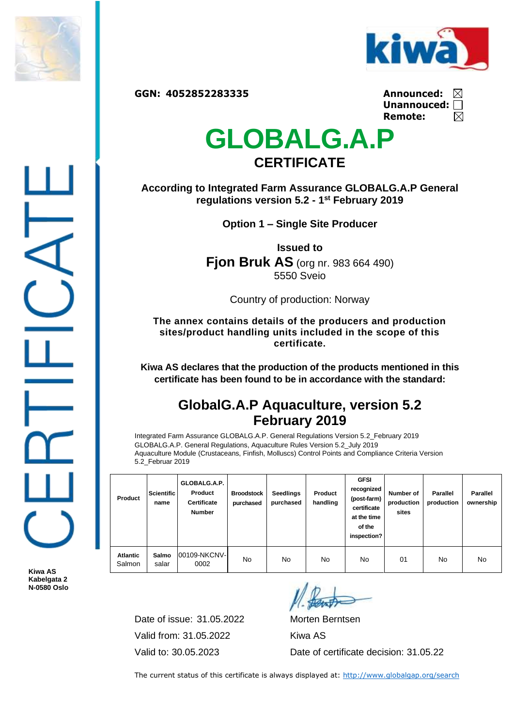



**GGN: 4052852283335 Announced:**

| Announced:         | ⊠ |
|--------------------|---|
| Unannouced: $\Box$ |   |
| Remote:            | ⊠ |

## **GLOBALG.A.P CERTIFICATE**

**According to Integrated Farm Assurance GLOBALG.A.P General regulations version 5.2 - 1 st February 2019**

**Option 1 – Single Site Producer**

**Issued to Fjon Bruk AS** (org nr. 983 664 490) 5550 Sveio

Country of production: Norway

**The annex contains details of the producers and production sites/product handling units included in the scope of this certificate.**

**Kiwa AS declares that the production of the products mentioned in this certificate has been found to be in accordance with the standard:**

## **GlobalG.A.P Aquaculture, version 5.2 February 2019**

Integrated Farm Assurance GLOBALG.A.P. General Regulations Version 5.2\_February 2019 GLOBALG.A.P. General Regulations, Aquaculture Rules Version 5.2\_July 2019 Aquaculture Module (Crustaceans, Finfish, Molluscs) Control Points and Compliance Criteria Version 5.2\_Februar 2019

| Product                   | <b>Scientific</b><br>name | GLOBALG.A.P.<br>Product<br><b>Certificate</b><br><b>Number</b> | <b>Broodstock</b><br>purchased | <b>Seedlings</b><br>purchased | Product<br>handling | <b>GFSI</b><br>recognized<br>(post-farm)<br>certificate<br>at the time<br>of the<br>inspection? | Number of<br>production<br>sites | <b>Parallel</b><br>production | <b>Parallel</b><br>ownership |
|---------------------------|---------------------------|----------------------------------------------------------------|--------------------------------|-------------------------------|---------------------|-------------------------------------------------------------------------------------------------|----------------------------------|-------------------------------|------------------------------|
| <b>Atlantic</b><br>Salmon | Salmo<br>salar            | 00109-NKCNV-<br>0002                                           | No                             | No                            | No.                 | No                                                                                              | 01                               | No                            | No                           |

**Kiwa AS Kabelgata 2 N-0580 Oslo**

> Date of issue: 31.05.2022 Morten Berntsen Valid from: 31.05.2022 Kiwa AS

Valid to: 30.05.2023 Date of certificate decision: 31.05.22

The current status of this certificate is always displayed at:<http://www.globalgap.org/search>